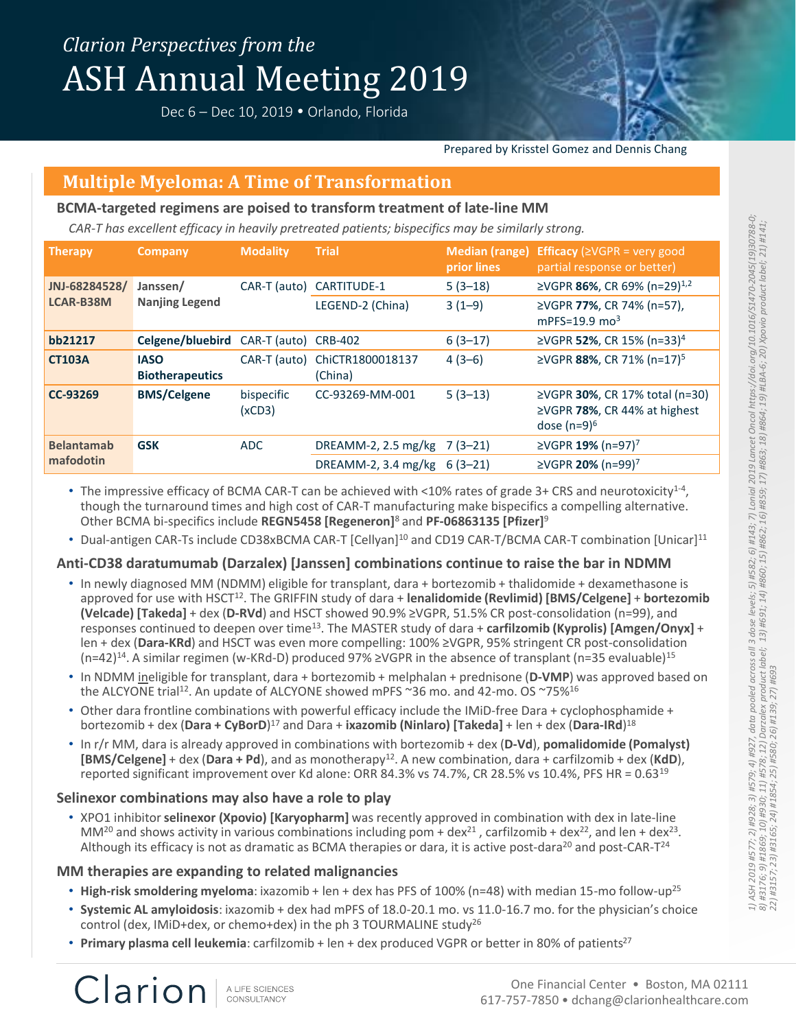Dec 6 – Dec 10, 2019 • Orlando, Florida



#### Prepared by Krisstel Gomez and Dennis Chang

## **Multiple Myeloma: A Time of Transformation**

### **BCMA-targeted regimens are poised to transform treatment of late-line MM**

*CAR-T has excellent efficacy in heavily pretreated patients; bispecifics may be similarly strong.*

| <b>Therapy</b>                    | Company                               | <b>Modality</b>      | <b>Trial</b>                  | <b>Median (range)</b><br>prior lines | <b>Efficacy</b> ( $\geq$ VGPR = very good<br>partial response or better)         |
|-----------------------------------|---------------------------------------|----------------------|-------------------------------|--------------------------------------|----------------------------------------------------------------------------------|
| JNJ-68284528/<br><b>LCAR-B38M</b> | Janssen/<br><b>Nanjing Legend</b>     | CAR-T (auto)         | CARTITUDE-1                   | $5(3-18)$                            | ≥VGPR 86%, CR 69% (n=29) <sup>1,2</sup>                                          |
|                                   |                                       |                      | LEGEND-2 (China)              | $3(1-9)$                             | ≥VGPR 77%, CR 74% (n=57),<br>mPFS=19.9 $mo3$                                     |
| bb21217                           | Celgene/bluebird CAR-T (auto) CRB-402 |                      |                               | $6(3-17)$                            | ≥VGPR 52%, CR 15% (n=33) <sup>4</sup>                                            |
| <b>CT103A</b>                     | <b>IASO</b><br><b>Biotherapeutics</b> | CAR-T (auto)         | ChiCTR1800018137<br>(China)   | $4(3-6)$                             | ≥VGPR 88%, CR 71% (n=17) <sup>5</sup>                                            |
| CC-93269                          | <b>BMS/Celgene</b>                    | bispecific<br>(xCD3) | CC-93269-MM-001               | $5(3-13)$                            | ≥VGPR 30%, CR 17% total (n=30)<br>≥VGPR 78%, CR 44% at highest<br>dose $(n=9)^6$ |
| <b>Belantamab</b><br>mafodotin    | <b>GSK</b>                            | ADC.                 | DREAMM-2, $2.5 \text{ mg/kg}$ | $7(3-21)$                            | ≥VGPR 19% (n=97) <sup>7</sup>                                                    |
|                                   |                                       |                      | DREAMM-2, 3.4 mg/kg           | $6(3-21)$                            | ≥VGPR 20% (n=99) <sup>7</sup>                                                    |

• The impressive efficacy of BCMA CAR-T can be achieved with <10% rates of grade 3+ CRS and neurotoxicity<sup>1-4</sup>, though the turnaround times and high cost of CAR-T manufacturing make bispecifics a compelling alternative. Other BCMA bi-specifics include **REGN5458 [Regeneron]**<sup>8</sup> and **PF-06863135 [Pfizer]**<sup>9</sup>

• Dual-antigen CAR-Ts include CD38xBCMA CAR-T [Cellyan]<sup>10</sup> and CD19 CAR-T/BCMA CAR-T combination [Unicar]<sup>11</sup>

## **Anti-CD38 daratumumab (Darzalex) [Janssen] combinations continue to raise the bar in NDMM**

- In newly diagnosed MM (NDMM) eligible for transplant, dara + bortezomib + thalidomide + dexamethasone is approved for use with HSCT<sup>12</sup>. The GRIFFIN study of dara + **lenalidomide (Revlimid) [BMS/Celgene]** + **bortezomib (Velcade) [Takeda]** + dex (**D-RVd**) and HSCT showed 90.9% ≥VGPR, 51.5% CR post-consolidation (n=99), and responses continued to deepen over time<sup>13</sup>. The MASTER study of dara + **carfilzomib (Kyprolis) [Amgen/Onyx]** + len + dex (**Dara-KRd**) and HSCT was even more compelling: 100% ≥VGPR, 95% stringent CR post-consolidation  $(n=42)^{14}$ . A similar regimen (w-KRd-D) produced 97% ≥VGPR in the absence of transplant (n=35 evaluable)<sup>15</sup>
- In NDMM ineligible for transplant, dara + bortezomib + melphalan + prednisone (**D-VMP**) was approved based on the ALCYONE trial<sup>12</sup>. An update of ALCYONE showed mPFS ~36 mo. and 42-mo. OS ~75%<sup>16</sup>
- Other dara frontline combinations with powerful efficacy include the IMiD-free Dara + cyclophosphamide + bortezomib + dex (**Dara + CyBorD**) <sup>17</sup> and Dara + **ixazomib (Ninlaro) [Takeda]** + len + dex (**Dara-IRd**) 18
- In r/r MM, dara is already approved in combinations with bortezomib + dex (**D-Vd**), **pomalidomide (Pomalyst) [BMS/Celgene]** + dex (**Dara + Pd**), and as monotherapy<sup>12</sup>. A new combination, dara + carfilzomib + dex (**KdD**), reported significant improvement over Kd alone: ORR 84.3% vs 74.7%, CR 28.5% vs 10.4%, PFS HR = 0.63<sup>19</sup>

## **Selinexor combinations may also have a role to play**

• XPO1 inhibitor **selinexor (Xpovio) [Karyopharm]** was recently approved in combination with dex in late-line MM<sup>20</sup> and shows activity in various combinations including pom + dex<sup>21</sup>, carfilzomib + dex<sup>22</sup>, and len + dex<sup>23</sup>. Although its efficacy is not as dramatic as BCMA therapies or dara, it is active post-dara<sup>20</sup> and post-CAR-T<sup>24</sup>

## **MM therapies are expanding to related malignancies**

Clarion

- **High-risk smoldering myeloma**: ixazomib + len + dex has PFS of 100% (n=48) with median 15-mo follow-up<sup>25</sup>
- **Systemic AL amyloidosis**: ixazomib + dex had mPFS of 18.0-20.1 mo. vs 11.0-16.7 mo. for the physician's choice control (dex, IMiD+dex, or chemo+dex) in the ph 3 TOURMALINE study<sup>26</sup>
- **Primary plasma cell leukemia**: carfilzomib + len + dex produced VGPR or better in 80% of patients<sup>27</sup>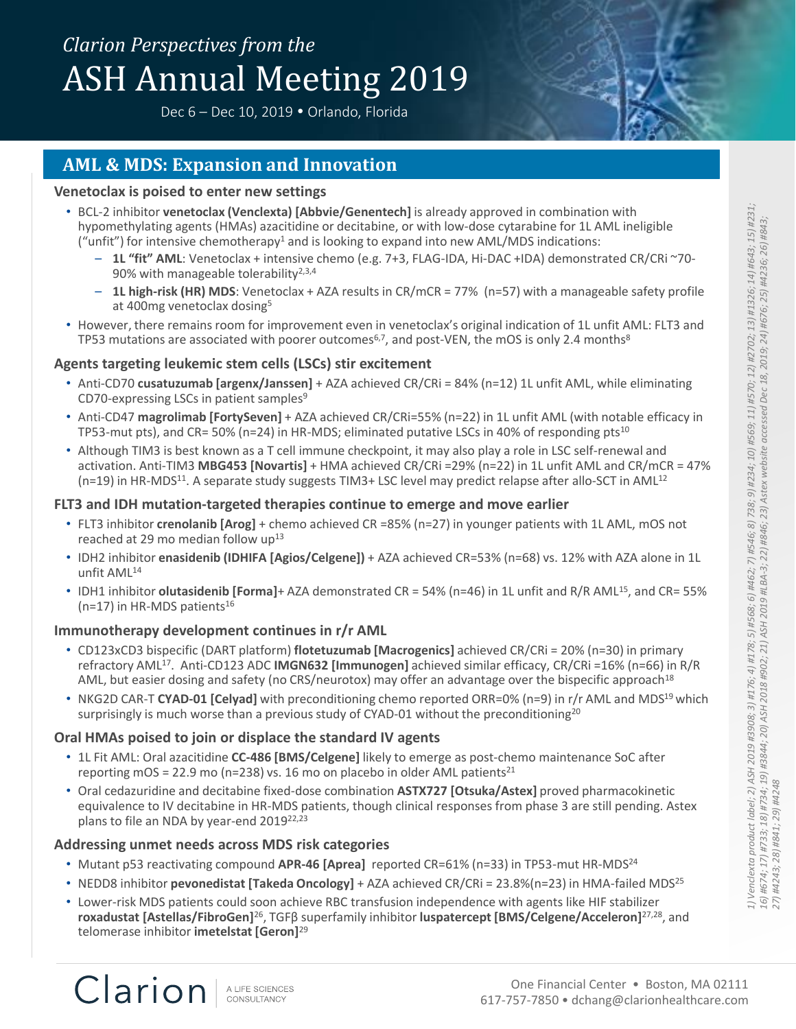Dec 6 – Dec 10, 2019 • Orlando, Florida



## **AML & MDS: Expansion and Innovation**

### **Venetoclax is poised to enter new settings**

- BCL-2 inhibitor **venetoclax (Venclexta) [Abbvie/Genentech]** is already approved in combination with hypomethylating agents (HMAs) azacitidine or decitabine, or with low-dose cytarabine for 1L AML ineligible ("unfit") for intensive chemotherapy<sup>1</sup> and is looking to expand into new AML/MDS indications:
	- **1L "fit" AML**: Venetoclax + intensive chemo (e.g. 7+3, FLAG-IDA, Hi-DAC +IDA) demonstrated CR/CRi ~70- 90% with manageable tolerability<sup>2,3,4</sup>
	- **1L high-risk (HR) MDS**: Venetoclax + AZA results in CR/mCR = 77% (n=57) with a manageable safety profile at 400mg venetoclax dosing<sup>5</sup>
- However, there remains room for improvement even in venetoclax's original indication of 1L unfit AML: FLT3 and TP53 mutations are associated with poorer outcomes<sup>6,7</sup>, and post-VEN, the mOS is only 2.4 months<sup>8</sup>

## **Agents targeting leukemic stem cells (LSCs) stir excitement**

- Anti-CD70 **cusatuzumab [argenx/Janssen]** + AZA achieved CR/CRi = 84% (n=12) 1L unfit AML, while eliminating CD70-expressing LSCs in patient samples<sup>9</sup>
- Anti-CD47 **magrolimab [FortySeven]** + AZA achieved CR/CRi=55% (n=22) in 1L unfit AML (with notable efficacy in TP53-mut pts), and CR= 50% (n=24) in HR-MDS; eliminated putative LSCs in 40% of responding pts<sup>10</sup>
- Although TIM3 is best known as a T cell immune checkpoint, it may also play a role in LSC self-renewal and activation. Anti-TIM3 **MBG453 [Novartis]** + HMA achieved CR/CRi =29% (n=22) in 1L unfit AML and CR/mCR = 47%  $(n=19)$  in HR-MDS<sup>11</sup>. A separate study suggests TIM3+ LSC level may predict relapse after allo-SCT in AML<sup>12</sup>

## **FLT3 and IDH mutation-targeted therapies continue to emerge and move earlier**

- FLT3 inhibitor **crenolanib [Arog]** + chemo achieved CR =85% (n=27) in younger patients with 1L AML, mOS not reached at 29 mo median follow  $up^{13}$
- IDH2 inhibitor **enasidenib (IDHIFA [Agios/Celgene])** + AZA achieved CR=53% (n=68) vs. 12% with AZA alone in 1L unfit AML<sup>14</sup>
- IDH1 inhibitor **olutasidenib [Forma]**+ AZA demonstrated CR = 54% (n=46) in 1L unfit and R/R AML<sup>15</sup>, and CR= 55%  $(n=17)$  in HR-MDS patients<sup>16</sup>

## **Immunotherapy development continues in r/r AML**

- CD123xCD3 bispecific (DART platform) **flotetuzumab [Macrogenics]** achieved CR/CRi = 20% (n=30) in primary refractory AML<sup>17</sup>. Anti-CD123 ADC **IMGN632 [Immunogen]** achieved similar efficacy, CR/CRi =16% (n=66) in R/R AML, but easier dosing and safety (no CRS/neurotox) may offer an advantage over the bispecific approach<sup>18</sup>
- NKG2D CAR-T **CYAD-01 [Celyad]** with preconditioning chemo reported ORR=0% (n=9) in r/r AML and MDS<sup>19</sup> which surprisingly is much worse than a previous study of CYAD-01 without the preconditioning<sup>20</sup>

## **Oral HMAs poised to join or displace the standard IV agents**

- 1L Fit AML: Oral azacitidine **CC-486 [BMS/Celgene]** likely to emerge as post-chemo maintenance SoC after reporting mOS = 22.9 mo (n=238) vs. 16 mo on placebo in older AML patients<sup>21</sup>
- Oral cedazuridine and decitabine fixed-dose combination **ASTX727 [Otsuka/Astex]** proved pharmacokinetic equivalence to IV decitabine in HR-MDS patients, though clinical responses from phase 3 are still pending. Astex plans to file an NDA by year-end 2019<sup>22,23</sup>

## **Addressing unmet needs across MDS risk categories**

- Mutant p53 reactivating compound **APR-46 [Aprea]** reported CR=61% (n=33) in TP53-mut HR-MDS<sup>24</sup>
- NEDD8 inhibitor **pevonedistat [Takeda Oncology]** + AZA achieved CR/CRi = 23.8%(n=23) in HMA-failed MDS<sup>25</sup>
- Lower-risk MDS patients could soon achieve RBC transfusion independence with agents like HIF stabilizer **roxadustat [Astellas/FibroGen]**<sup>26</sup>, TGFβ superfamily inhibitor **luspatercept [BMS/Celgene/Acceleron]**27,28, and telomerase inhibitor **imetelstat [Geron]**29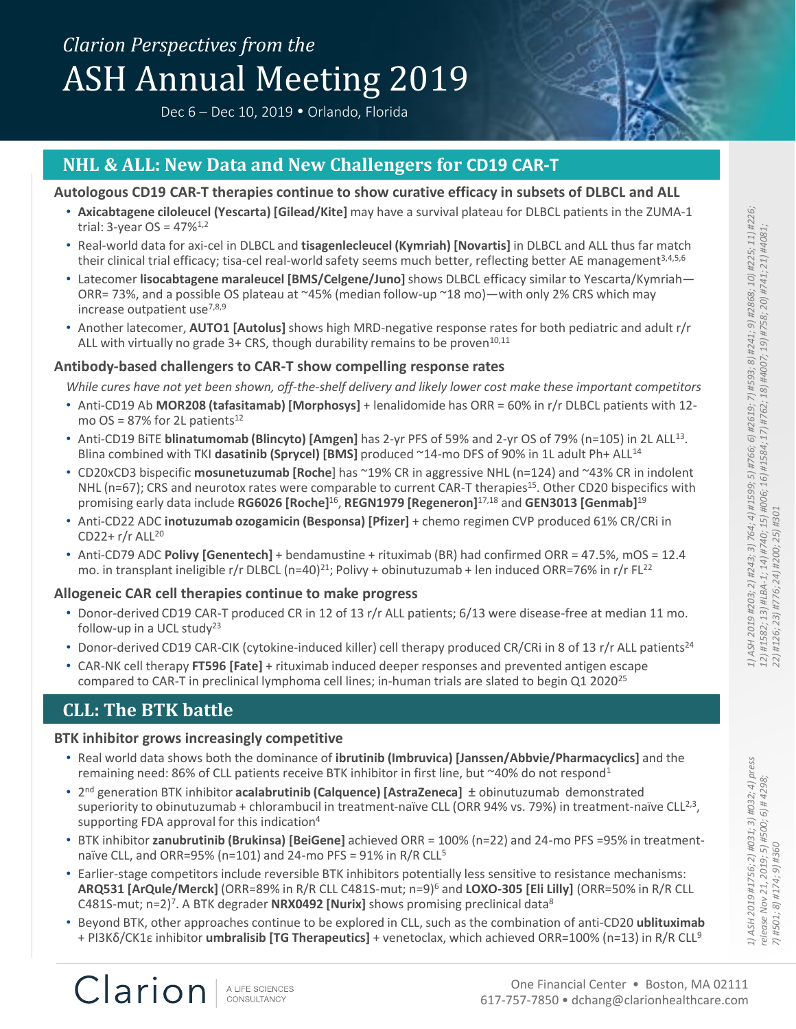Dec 6 – Dec 10, 2019 • Orlando, Florida



## **NHL & ALL: New Data and New Challengers for CD19 CAR-T**

#### **Autologous CD19 CAR-T therapies continue to show curative efficacy in subsets of DLBCL and ALL**

- **Axicabtagene ciloleucel (Yescarta) [Gilead/Kite]** may have a survival plateau for DLBCL patients in the ZUMA-1 trial:  $3$ -year OS =  $47\%$ <sup>1,2</sup>
- Real-world data for axi-cel in DLBCL and **tisagenlecleucel (Kymriah) [Novartis]** in DLBCL and ALL thus far match their clinical trial efficacy; tisa-cel real-world safety seems much better, reflecting better AE management<sup>3,4,5,6</sup>
- Latecomer **lisocabtagene maraleucel [BMS/Celgene/Juno]** shows DLBCL efficacy similar to Yescarta/Kymriah— ORR= 73%, and a possible OS plateau at  $\sim$ 45% (median follow-up  $\sim$ 18 mo)—with only 2% CRS which may increase outpatient use $^{7,8,9}$
- Another latecomer, **AUTO1 [Autolus]** shows high MRD-negative response rates for both pediatric and adult r/r ALL with virtually no grade  $3+$  CRS, though durability remains to be proven<sup>10,11</sup>

#### **Antibody-based challengers to CAR-T show compelling response rates**

*While cures have not yet been shown, off-the-shelf delivery and likely lower cost make these important competitors*

- Anti-CD19 Ab **MOR208 (tafasitamab) [Morphosys]** + lenalidomide has ORR = 60% in r/r DLBCL patients with 12 mo OS =  $87\%$  for 2L patients<sup>12</sup>
- Anti-CD19 BiTE **blinatumomab (Blincyto) [Amgen]** has 2-yr PFS of 59% and 2-yr OS of 79% (n=105) in 2L ALL<sup>13</sup>. Blina combined with TKI dasatinib (Sprycel) [BMS] produced ~14-mo DFS of 90% in 1L adult Ph+ ALL<sup>14</sup>
- CD20xCD3 bispecific **mosunetuzumab [Roche**] has ~19% CR in aggressive NHL (n=124) and ~43% CR in indolent NHL (n=67); CRS and neurotox rates were comparable to current CAR-T therapies<sup>15</sup>. Other CD20 bispecifics with promising early data include **RG6026 [Roche]**<sup>16</sup> , **REGN1979 [Regeneron]**17,18 and **GEN3013 [Genmab]**<sup>19</sup>
- Anti-CD22 ADC **inotuzumab ozogamicin (Besponsa) [Pfizer]** + chemo regimen CVP produced 61% CR/CRi in CD22+ $r/r$  ALL<sup>20</sup>
- Anti-CD79 ADC **Polivy [Genentech]** + bendamustine + rituximab (BR) had confirmed ORR = 47.5%, mOS = 12.4 mo. in transplant ineligible r/r DLBCL (n=40)<sup>21</sup>; Polivy + obinutuzumab + len induced ORR=76% in r/r FL<sup>22</sup>

### **Allogeneic CAR cell therapies continue to make progress**

- Donor-derived CD19 CAR-T produced CR in 12 of 13 r/r ALL patients; 6/13 were disease-free at median 11 mo. follow-up in a UCL study<sup>23</sup>
- Donor-derived CD19 CAR-CIK (cytokine-induced killer) cell therapy produced CR/CRi in 8 of 13 r/r ALL patients<sup>24</sup>
- CAR-NK cell therapy **FT596 [Fate]** + rituximab induced deeper responses and prevented antigen escape compared to CAR-T in preclinical lymphoma cell lines; in-human trials are slated to begin Q1 2020<sup>25</sup>

## **CLL: The BTK battle**

Clarion

#### **BTK inhibitor grows increasingly competitive**

- Real world data shows both the dominance of **ibrutinib (Imbruvica) [Janssen/Abbvie/Pharmacyclics]** and the remaining need: 86% of CLL patients receive BTK inhibitor in first line, but ~40% do not respond<sup>1</sup>
- freau for DLBCL patients in the ZUMA-1<br>
artist] in DLBCL and ALL thus far match<br>
effecting better AE management<sup>3,45,6</sup><br>
efficacy similar to Yescart A/Kymriah—<br>
in with only 2% CRS which may<br>
are rates for both pediatri • 2<sup>nd</sup> generation BTK inhibitor acalabrutinib (Calquence) [AstraZeneca] ± obinutuzumab demonstrated superiority to obinutuzumab + chlorambucil in treatment-naïve CLL (ORR 94% vs. 79%) in treatment-naïve CLL<sup>2,3</sup>, supporting FDA approval for this indication<sup>4</sup>
- BTK inhibitor **zanubrutinib (Brukinsa) [BeiGene]** achieved ORR = 100% (n=22) and 24-mo PFS =95% in treatmentnaïve CLL, and ORR=95% (n=101) and 24-mo PFS = 91% in R/R CLL<sup>5</sup>
- Earlier-stage competitors include reversible BTK inhibitors potentially less sensitive to resistance mechanisms: **ARQ531 [ArQule/Merck]** (ORR=89% in R/R CLL C481S-mut; n=9)<sup>6</sup> and **LOXO-305 [Eli Lilly]** (ORR=50% in R/R CLL C481S-mut; n=2)<sup>7</sup>. A BTK degrader **NRX0492 [Nurix]** shows promising preclinical data<sup>8</sup>
- Beyond BTK, other approaches continue to be explored in CLL, such as the combination of anti-CD20 **ublituximab** + PI3Kδ/CK1ε inhibitor **umbralisib [TG Therapeutics]** + venetoclax, which achieved ORR=100% (n=13) in R/R CLL<sup>9</sup>

*1) ASH 2019 #1756; 2) #031; 3) #032; 4) press release Nov 21, 2019; 5) #500; 6) # 4298;* 

*7) #501; 8) #174; 9) #360*